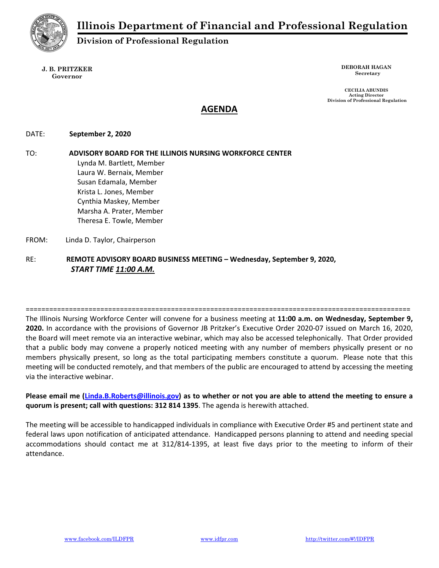

**Division of Professional Regulation** 

#### **J. B. PRITZKER Governor**

**DEBORAH HAGAN Secretary** 

 **CECILIA ABUNDIS Acting Director Division of Professional Regulation** 

# **AGENDA**

### DATE:  **September 2, 2020**

TO: **ADVISORY BOARD FOR THE ILLINOIS NURSING WORKFORCE CENTER** Lynda M. Bartlett, Member Laura W. Bernaix, Member Susan Edamala, Member Krista L. Jones, Member Cynthia Maskey, Member Marsha A. Prater, Member Theresa E. Towle, Member FROM: Linda D. Taylor, Chairperson

## RE: **REMOTE ADVISORY BOARD BUSINESS MEETING – Wednesday, September 9, 2020,**  *START TIME 11:00 A.M.*

==================================================================================================

The Illinois Nursing Workforce Center will convene for a business meeting at **11:00 a.m. on Wednesday, September 9, 2020.** In accordance with the provisions of Governor JB Pritzker's Executive Order 2020‐07 issued on March 16, 2020, the Board will meet remote via an interactive webinar, which may also be accessed telephonically. That Order provided that a public body may convene a properly noticed meeting with any number of members physically present or no members physically present, so long as the total participating members constitute a quorum. Please note that this meeting will be conducted remotely, and that members of the public are encouraged to attend by accessing the meeting via the interactive webinar.

### **Please email me (Linda.B.Roberts@illinois.gov) as to whether or not you are able to attend the meeting to ensure a quorum is present; call with questions: 312 814 1395**. The agenda is herewith attached.

The meeting will be accessible to handicapped individuals in compliance with Executive Order #5 and pertinent state and federal laws upon notification of anticipated attendance. Handicapped persons planning to attend and needing special accommodations should contact me at 312/814‐1395, at least five days prior to the meeting to inform of their attendance.